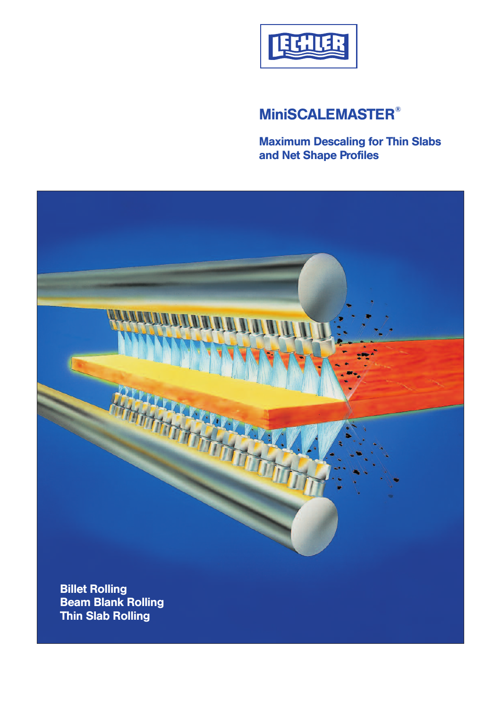

# **MiniSCALEMASTER®**

**Maximum Descaling for Thin Slabs and Net Shape Profiles**

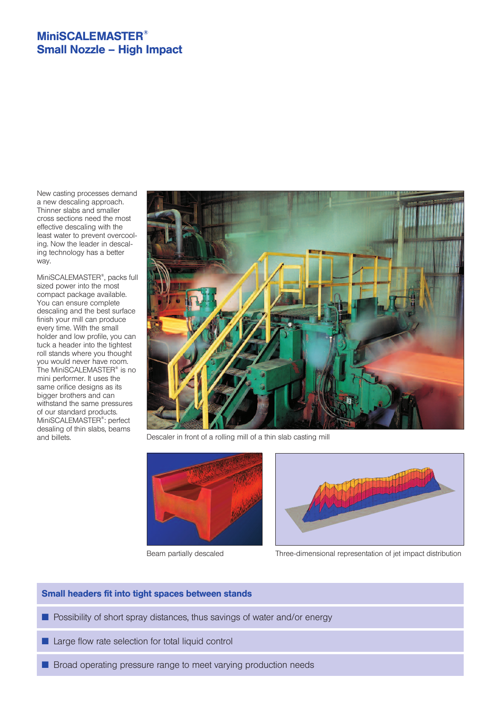### **MiniSCALEMASTER® Small Nozzle – High Impact**

New casting processes demand a new descaling approach. Thinner slabs and smaller cross sections need the most effective descaling with the least water to prevent overcooling. Now the leader in descaling technology has a better way.

MiniSCALEMASTER<sup>®</sup>, packs full sized power into the most compact package available. You can ensure complete descaling and the best surface finish your mill can produce every time. With the small holder and low profile, you can tuck a header into the tightest roll stands where you thought you would never have room. The MiniSCALEMASTER® is no mini performer. It uses the same orifice designs as its bigger brothers and can withstand the same pressures of our standard products. MiniSCALEMASTER® : perfect desaling of thin slabs, beams and billets.



Descaler in front of a rolling mill of a thin slab casting mill





Beam partially descaled Three-dimensional representation of jet impact distribution

### **Small headers fit into tight spaces between stands**

- Possibility of short spray distances, thus savings of water and/or energy
- $\blacksquare$  Large flow rate selection for total liquid control
- Broad operating pressure range to meet varying production needs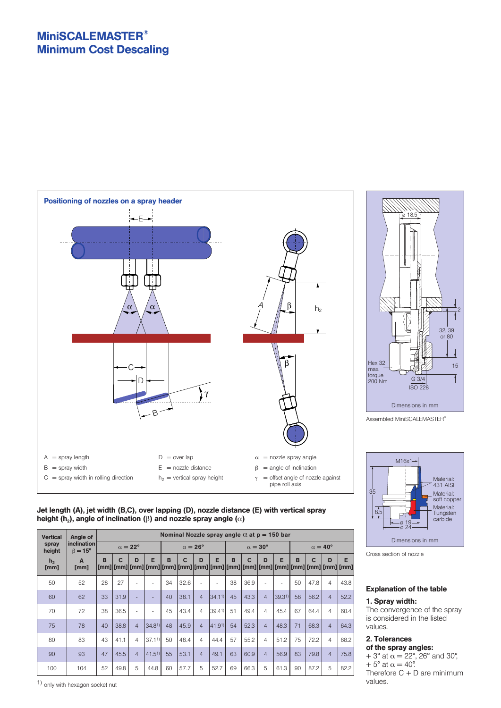### **MiniSCALEMASTER® Minimum Cost Descaling**



#### **Jet length (A), jet width (B,C), over lapping (D), nozzle distance (E) with vertical spray height (h2), angle of inclination (**β**) and nozzle spray angle (**α**)**

| <b>Vertical</b>        | Angle of                             |                       | Nominal Nozzle spray angle $\alpha$ at p = 150 bar |                |                          |    |                       |                |                          |    |                       |                          |                 |    |                       |                |      |  |
|------------------------|--------------------------------------|-----------------------|----------------------------------------------------|----------------|--------------------------|----|-----------------------|----------------|--------------------------|----|-----------------------|--------------------------|-----------------|----|-----------------------|----------------|------|--|
| spray<br>height        | inclination <br>$\beta = 15^{\circ}$ | $\alpha = 22^{\circ}$ |                                                    |                |                          |    | $\alpha = 26^{\circ}$ |                |                          |    | $\alpha = 30^{\circ}$ |                          |                 |    | $\alpha = 40^{\circ}$ |                |      |  |
| h <sub>2</sub><br>[mm] | A<br><b>Imm1</b>                     | B                     | C                                                  | D              | Е                        | B  | C                     | D              | Е                        | B  | $\mathbf{C}$          | D                        | Е               | B  | C                     | D              | Е    |  |
| 50                     | 52                                   | 28                    | 27                                                 |                | $\overline{\phantom{a}}$ | 34 | 32.6                  |                | $\overline{\phantom{a}}$ | 38 | 36.9                  | $\overline{\phantom{a}}$ |                 | 50 | 47.8                  | 4              | 43.8 |  |
| 60                     | 62                                   | 33                    | 31.9                                               |                | $\overline{\phantom{a}}$ | 40 | 38.1                  | $\overline{4}$ | 34.11                    | 45 | 43.3                  | $\overline{4}$           | $ 39.31\rangle$ | 58 | 56.2                  | $\overline{4}$ | 52.2 |  |
| 70                     | 72                                   | 38                    | 36.5                                               |                | ٠                        | 45 | 43.4                  | 4              | 39.41)                   | 51 | 49.4                  | $\overline{4}$           | 45.4            | 67 | 64.4                  | $\overline{4}$ | 60.4 |  |
| 75                     | 78                                   | 40                    | 38.8                                               | $\overline{4}$ | $34.8^{1}$               | 48 | 45.9                  | $\overline{4}$ | 41.91                    | 54 | 52.3                  | $\overline{4}$           | 48.3            | 71 | 68.3                  | $\overline{4}$ | 64.3 |  |
| 80                     | 83                                   | 43                    | 41.1                                               | $\overline{4}$ | $37.1^{1}$               | 50 | 48.4                  | 4              | 44.4                     | 57 | 55.2                  | $\overline{4}$           | 51.2            | 75 | 72.2                  | 4              | 68.2 |  |
| 90                     | 93                                   | 47                    | 45.5                                               | $\overline{4}$ | 41.51                    | 55 | 53.1                  | $\overline{4}$ | 49.1                     | 63 | 60.9                  | $\overline{4}$           | 56.9            | 83 | 79.8                  | $\overline{4}$ | 75.8 |  |
| 100                    | 104                                  | 52                    | 49.8                                               | 5              | 44.8                     | 60 | 57.7                  | 5              | 52.7                     | 69 | 66.3                  | 5                        | 61.3            | 90 | 87.2                  | 5              | 82.2 |  |



2

Cross section of nozzle

#### **Explanation of the table**

#### **1. Spray width:**

The convergence of the spray is considered in the listed values.

#### **2. Tolerances**

**of the spray angles:** + 3° at  $\alpha$  = 22°, 26° and 30°,  $+5^{\circ}$  at  $\alpha = 40^{\circ}$ . Therefore  $C + D$  are minimum values.

1) only with hexagon socket nut